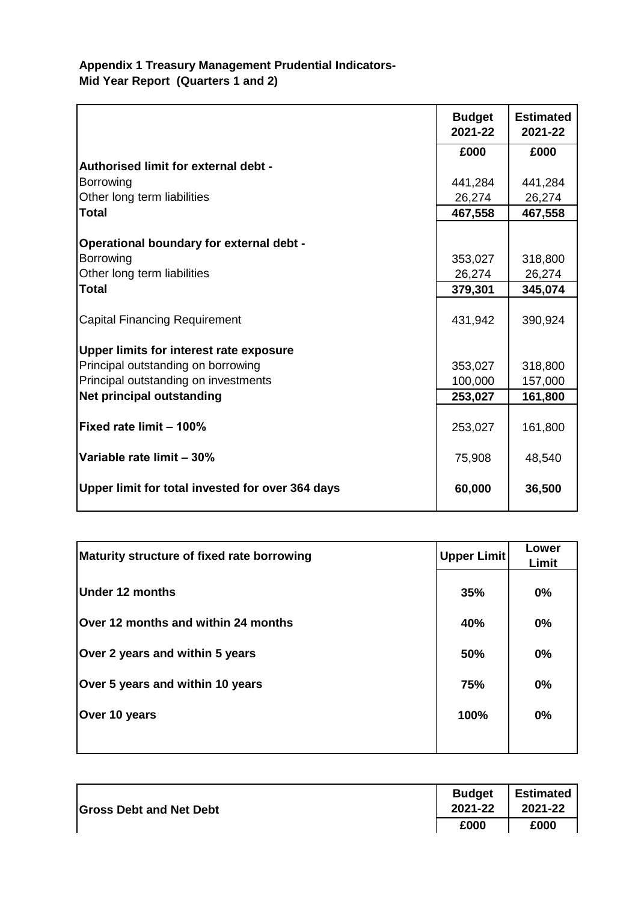## **Appendix 1 Treasury Management Prudential Indicators-Mid Year Report (Quarters 1 and 2)**

|                                                  | <b>Budget</b><br>2021-22 | <b>Estimated</b><br>2021-22 |
|--------------------------------------------------|--------------------------|-----------------------------|
|                                                  | £000                     | £000                        |
| Authorised limit for external debt -             |                          |                             |
| <b>Borrowing</b>                                 | 441,284                  | 441,284                     |
| Other long term liabilities                      | 26,274                   | 26,274                      |
| <b>Total</b>                                     | 467,558                  | 467,558                     |
| Operational boundary for external debt -         |                          |                             |
| <b>Borrowing</b>                                 | 353,027                  | 318,800                     |
| Other long term liabilities                      | 26,274                   | 26,274                      |
| <b>Total</b>                                     | 379,301                  | 345,074                     |
|                                                  |                          |                             |
| <b>Capital Financing Requirement</b>             | 431,942                  | 390,924                     |
| Upper limits for interest rate exposure          |                          |                             |
| Principal outstanding on borrowing               | 353,027                  | 318,800                     |
| Principal outstanding on investments             | 100,000                  | 157,000                     |
| <b>Net principal outstanding</b>                 | 253,027                  | 161,800                     |
| Fixed rate limit - 100%                          | 253,027                  | 161,800                     |
| Variable rate limit - 30%                        | 75,908                   | 48,540                      |
| Upper limit for total invested for over 364 days | 60,000                   | 36,500                      |

| Maturity structure of fixed rate borrowing | Upper Limit | Lower<br>Limit |
|--------------------------------------------|-------------|----------------|
| Under 12 months                            | 35%         | $0\%$          |
| Over 12 months and within 24 months        | 40%         | 0%             |
| Over 2 years and within 5 years            | 50%         | $0\%$          |
| Over 5 years and within 10 years           | 75%         | 0%             |
| Over 10 years                              | 100%        | 0%             |
|                                            |             |                |

| <b>Gross Debt and Net Debt</b> | <b>Budget</b><br>2021-22 | I Estimated<br>2021-22 |
|--------------------------------|--------------------------|------------------------|
|                                | £000                     | £000                   |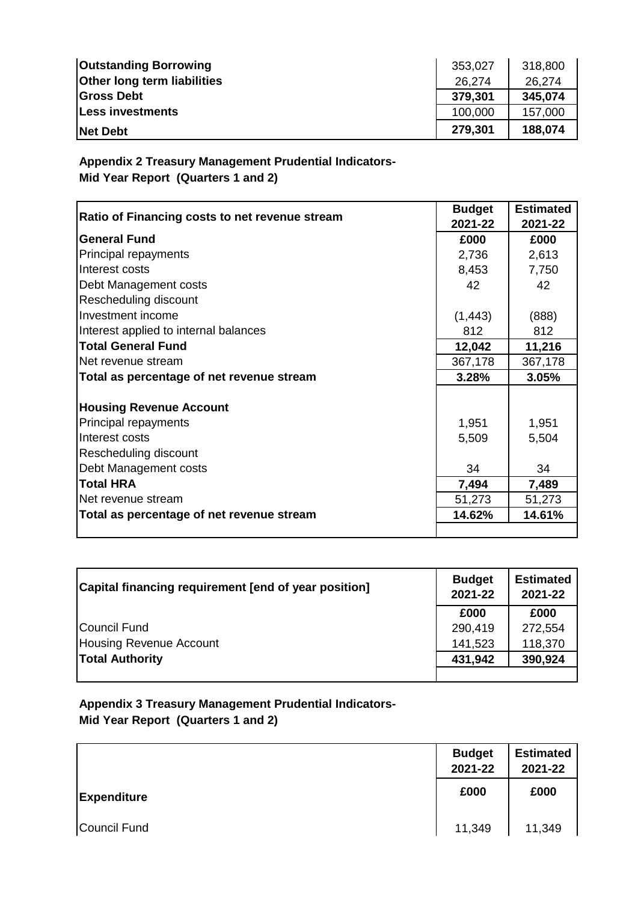| <b>Outstanding Borrowing</b>       | 353,027 | 318,800 |
|------------------------------------|---------|---------|
| <b>Other long term liabilities</b> | 26.274  | 26,274  |
| <b>Gross Debt</b>                  | 379,301 | 345,074 |
| Less investments                   | 100,000 | 157,000 |
| <b>Net Debt</b>                    | 279,301 | 188,074 |

**Appendix 2 Treasury Management Prudential Indicators-Mid Year Report (Quarters 1 and 2)**

| Ratio of Financing costs to net revenue stream | <b>Budget</b><br>2021-22 | <b>Estimated</b><br>2021-22 |
|------------------------------------------------|--------------------------|-----------------------------|
| <b>General Fund</b>                            | £000                     | £000                        |
| Principal repayments                           | 2,736                    | 2,613                       |
| Interest costs                                 | 8,453                    | 7,750                       |
| Debt Management costs                          | 42                       | 42                          |
| Rescheduling discount                          |                          |                             |
| Investment income                              | (1, 443)                 | (888)                       |
| Interest applied to internal balances          | 812                      | 812                         |
| <b>Total General Fund</b>                      | 12,042                   | 11,216                      |
| Net revenue stream                             | 367,178                  | 367,178                     |
| Total as percentage of net revenue stream      | 3.28%                    | 3.05%                       |
|                                                |                          |                             |
| <b>Housing Revenue Account</b>                 |                          |                             |
| Principal repayments                           | 1,951                    | 1,951                       |
| Interest costs                                 | 5,509                    | 5,504                       |
| Rescheduling discount                          |                          |                             |
| Debt Management costs                          | 34                       | 34                          |
| <b>Total HRA</b>                               | 7,494                    | 7,489                       |
| Net revenue stream                             | 51,273                   | 51,273                      |
| Total as percentage of net revenue stream      | 14.62%                   | 14.61%                      |
|                                                |                          |                             |

| Capital financing requirement [end of year position] | <b>Budget</b><br>2021-22 | <b>Estimated</b><br>2021-22 |
|------------------------------------------------------|--------------------------|-----------------------------|
|                                                      | £000                     | £000                        |
| Council Fund                                         | 290,419                  | 272,554                     |
| Housing Revenue Account                              | 141,523                  | 118,370                     |
| <b>Total Authority</b>                               | 431,942                  | 390,924                     |
|                                                      |                          |                             |

**Appendix 3 Treasury Management Prudential Indicators-Mid Year Report (Quarters 1 and 2)**

|                    | <b>Budget</b><br>2021-22 | <b>Estimated</b><br>2021-22 |
|--------------------|--------------------------|-----------------------------|
| <b>Expenditure</b> | £000                     | £000                        |
| Council Fund       | 11,349                   | 11,349                      |